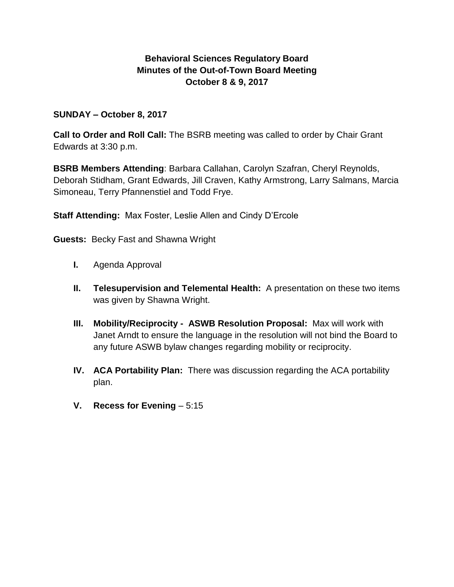# **Behavioral Sciences Regulatory Board Minutes of the Out-of-Town Board Meeting October 8 & 9, 2017**

## **SUNDAY – October 8, 2017**

**Call to Order and Roll Call:** The BSRB meeting was called to order by Chair Grant Edwards at 3:30 p.m.

**BSRB Members Attending**: Barbara Callahan, Carolyn Szafran, Cheryl Reynolds, Deborah Stidham, Grant Edwards, Jill Craven, Kathy Armstrong, Larry Salmans, Marcia Simoneau, Terry Pfannenstiel and Todd Frye.

**Staff Attending:** Max Foster, Leslie Allen and Cindy D'Ercole

**Guests:** Becky Fast and Shawna Wright

- **I.** Agenda Approval
- **II. Telesupervision and Telemental Health:** A presentation on these two items was given by Shawna Wright.
- **III. Mobility/Reciprocity ASWB Resolution Proposal:** Max will work with Janet Arndt to ensure the language in the resolution will not bind the Board to any future ASWB bylaw changes regarding mobility or reciprocity.
- **IV. ACA Portability Plan:** There was discussion regarding the ACA portability plan.
- **V. Recess for Evening** 5:15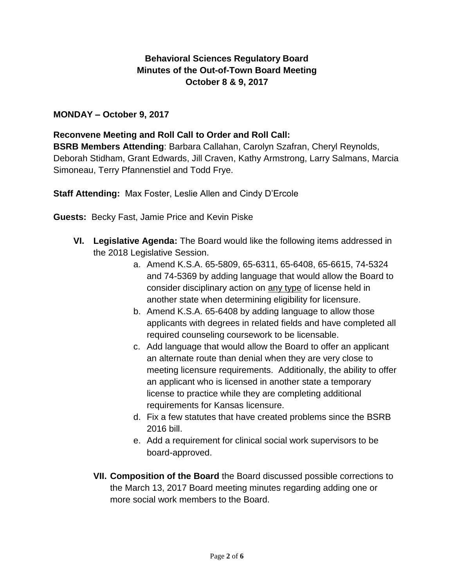# **Behavioral Sciences Regulatory Board Minutes of the Out-of-Town Board Meeting October 8 & 9, 2017**

# **MONDAY – October 9, 2017**

### **Reconvene Meeting and Roll Call to Order and Roll Call:**

**BSRB Members Attending**: Barbara Callahan, Carolyn Szafran, Cheryl Reynolds, Deborah Stidham, Grant Edwards, Jill Craven, Kathy Armstrong, Larry Salmans, Marcia Simoneau, Terry Pfannenstiel and Todd Frye.

**Staff Attending:** Max Foster, Leslie Allen and Cindy D'Ercole

**Guests:** Becky Fast, Jamie Price and Kevin Piske

- **VI. Legislative Agenda:** The Board would like the following items addressed in the 2018 Legislative Session.
	- a. Amend K.S.A. 65-5809, 65-6311, 65-6408, 65-6615, 74-5324 and 74-5369 by adding language that would allow the Board to consider disciplinary action on any type of license held in another state when determining eligibility for licensure.
	- b. Amend K.S.A. 65-6408 by adding language to allow those applicants with degrees in related fields and have completed all required counseling coursework to be licensable.
	- c. Add language that would allow the Board to offer an applicant an alternate route than denial when they are very close to meeting licensure requirements. Additionally, the ability to offer an applicant who is licensed in another state a temporary license to practice while they are completing additional requirements for Kansas licensure.
	- d. Fix a few statutes that have created problems since the BSRB 2016 bill.
	- e. Add a requirement for clinical social work supervisors to be board-approved.
	- **VII. Composition of the Board** the Board discussed possible corrections to the March 13, 2017 Board meeting minutes regarding adding one or more social work members to the Board.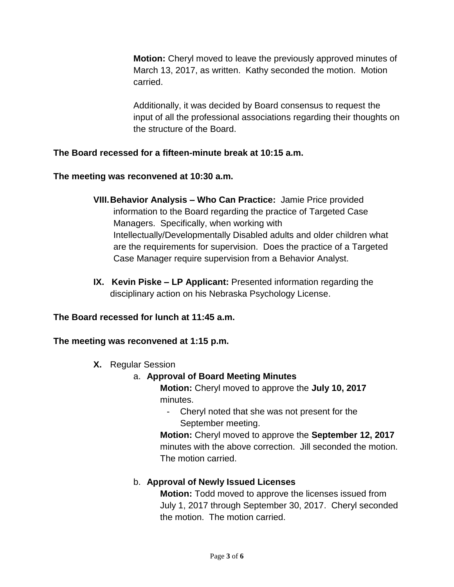**Motion:** Cheryl moved to leave the previously approved minutes of March 13, 2017, as written. Kathy seconded the motion. Motion carried.

Additionally, it was decided by Board consensus to request the input of all the professional associations regarding their thoughts on the structure of the Board.

# **The Board recessed for a fifteen-minute break at 10:15 a.m.**

### **The meeting was reconvened at 10:30 a.m.**

- **VIII.Behavior Analysis – Who Can Practice:** Jamie Price provided information to the Board regarding the practice of Targeted Case Managers. Specifically, when working with Intellectually/Developmentally Disabled adults and older children what are the requirements for supervision. Does the practice of a Targeted Case Manager require supervision from a Behavior Analyst.
- **IX. Kevin Piske – LP Applicant:** Presented information regarding the disciplinary action on his Nebraska Psychology License.

# **The Board recessed for lunch at 11:45 a.m.**

#### **The meeting was reconvened at 1:15 p.m.**

**X.** Regular Session

# a. **Approval of Board Meeting Minutes**

**Motion:** Cheryl moved to approve the **July 10, 2017** minutes.

- Cheryl noted that she was not present for the September meeting.

**Motion:** Cheryl moved to approve the **September 12, 2017** minutes with the above correction. Jill seconded the motion. The motion carried.

# b. **Approval of Newly Issued Licenses**

**Motion:** Todd moved to approve the licenses issued from July 1, 2017 through September 30, 2017. Cheryl seconded the motion. The motion carried.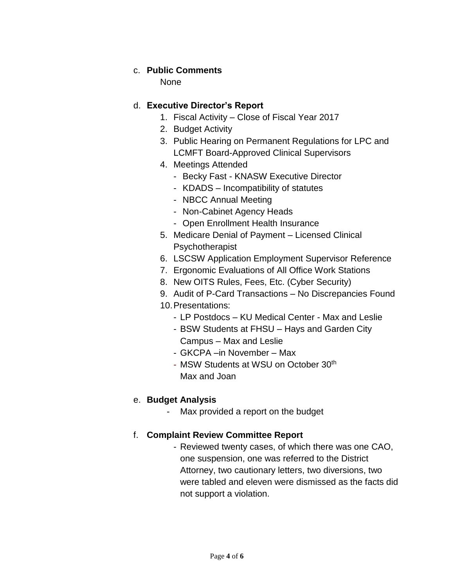## c. **Public Comments**

None

### d. **Executive Director's Report**

- 1. Fiscal Activity Close of Fiscal Year 2017
- 2. Budget Activity
- 3. Public Hearing on Permanent Regulations for LPC and LCMFT Board-Approved Clinical Supervisors
- 4. Meetings Attended
	- Becky Fast KNASW Executive Director
	- KDADS Incompatibility of statutes
	- NBCC Annual Meeting
	- Non-Cabinet Agency Heads
	- Open Enrollment Health Insurance
- 5. Medicare Denial of Payment Licensed Clinical Psychotherapist
- 6. LSCSW Application Employment Supervisor Reference
- 7. Ergonomic Evaluations of All Office Work Stations
- 8. New OITS Rules, Fees, Etc. (Cyber Security)
- 9. Audit of P-Card Transactions No Discrepancies Found
- 10.Presentations:
	- LP Postdocs KU Medical Center Max and Leslie
	- BSW Students at FHSU Hays and Garden City Campus – Max and Leslie
	- GKCPA –in November Max
	- MSW Students at WSU on October 30th Max and Joan

# e. **Budget Analysis**

- Max provided a report on the budget

#### f. **Complaint Review Committee Report**

- Reviewed twenty cases, of which there was one CAO, one suspension, one was referred to the District Attorney, two cautionary letters, two diversions, two were tabled and eleven were dismissed as the facts did not support a violation.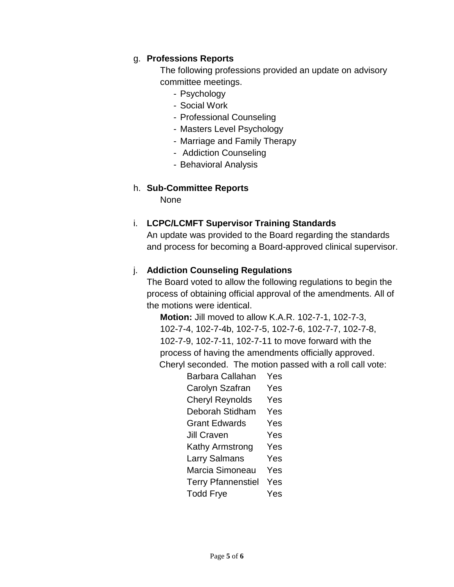# g. **Professions Reports**

The following professions provided an update on advisory committee meetings.

- Psychology
- Social Work
- Professional Counseling
- Masters Level Psychology
- Marriage and Family Therapy
- Addiction Counseling
- Behavioral Analysis

#### h. **Sub-Committee Reports**

None

### i. **LCPC/LCMFT Supervisor Training Standards**

An update was provided to the Board regarding the standards and process for becoming a Board-approved clinical supervisor.

### j. **Addiction Counseling Regulations**

The Board voted to allow the following regulations to begin the process of obtaining official approval of the amendments. All of the motions were identical.

**Motion:** Jill moved to allow K.A.R. 102-7-1, 102-7-3, 102-7-4, 102-7-4b, 102-7-5, 102-7-6, 102-7-7, 102-7-8, 102-7-9, 102-7-11, 102-7-11 to move forward with the process of having the amendments officially approved. Cheryl seconded. The motion passed with a roll call vote:

> Barbara Callahan Yes Carolyn Szafran Yes Cheryl Reynolds Yes Deborah Stidham Yes Grant Edwards Yes Jill Craven Yes Kathy Armstrong Yes Larry Salmans Yes Marcia Simoneau Yes Terry Pfannenstiel Yes Todd Frye Yes